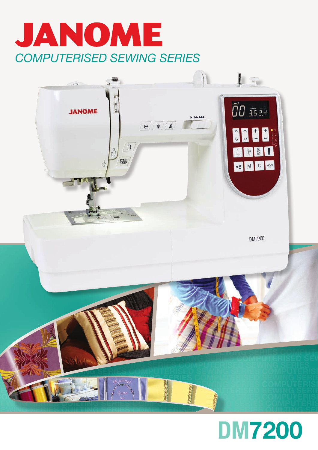